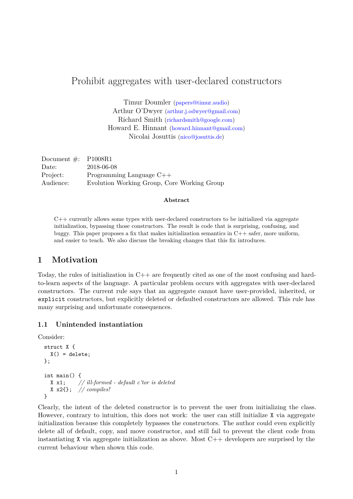# Prohibit aggregates with user-declared constructors

Timur Doumler [\(papers@timur.audio\)](mailto:papers@timur.audio) Arthur O'Dwyer [\(arthur.j.odwyer@gmail.com\)](mailto:arthur.j.odwyer@gmail.com) Richard Smith [\(richardsmith@google.com\)](mailto:richardsmith@google.com) Howard E. Hinnant [\(howard.hinnant@gmail.com\)](mailto:howard.hinnant@gmail.com) Nicolai Josuttis [\(nico@josuttis.de\)](mailto:nico@josuttis.de)

| Document $\#$ : P1008R1 |                                             |
|-------------------------|---------------------------------------------|
| Date:                   | 2018-06-08                                  |
| Project:                | Programming Language $C++$                  |
| Audience:               | Evolution Working Group, Core Working Group |

#### **Abstract**

 $C++$  currently allows some types with user-declared constructors to be initialized via aggregate initialization, bypassing those constructors. The result is code that is surprising, confusing, and buggy. This paper proposes a fix that makes initialization semantics in  $C++$  safer, more uniform, and easier to teach. We also discuss the breaking changes that this fix introduces.

## <span id="page-0-0"></span>**1 Motivation**

Today, the rules of initialization in C++ are frequently cited as one of the most confusing and hardto-learn aspects of the language. A particular problem occurs with aggregates with user-declared constructors. The current rule says that an aggregate cannot have user-provided, inherited, or explicit constructors, but explicitly deleted or defaulted constructors are allowed. This rule has many surprising and unfortunate consequences.

#### **1.1 Unintended instantiation**

Consider:

```
struct X {
  X() = delete;\ddot{\ }:
int main() {
  X x1; // ill-formed - default c'tor is deleted
  X x2{}; // compiles!
}
```
Clearly, the intent of the deleted constructor is to prevent the user from initializing the class. However, contrary to intuition, this does not work: the user can still initialize X via aggregate initialization because this completely bypasses the constructors. The author could even explicitly delete all of default, copy, and move constructor, and still fail to prevent the client code from instantiating X via aggregate initialization as above. Most  $C++$  developers are surprised by the current behaviour when shown this code.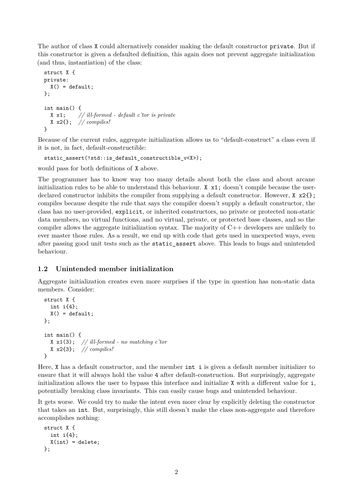The author of class X could alternatively consider making the default constructor private. But if this constructor is given a defaulted definition, this again does not prevent aggregate initialization (and thus, instantiation) of the class:

```
struct X {
private:
 X() = default;};
int main() {
  X x1; // ill-formed - default c'tor is private
  X x2{}; // compiles!
}
```
Because of the current rules, aggregate initialization allows us to "default-construct" a class even if it is not, in fact, default-constructible:

```
static_assert(!std::is_default_constructible_v<X>);
```
would pass for both definitions of X above.

The programmer has to know way too many details about both the class and about arcane initialization rules to be able to understand this behaviour.  $X \times 1$ ; doesn't compile because the userdeclared constructor inhibits the compiler from supplying a default constructor. However,  $X \times 2\{$ compiles because despite the rule that says the compiler doesn't supply a default constructor, the class has no user-provided, explicit, or inherited constructors, no private or protected non-static data members, no virtual functions, and no virtual, private, or protected base classes, and so the compiler allows the aggregate initialization syntax. The majority of  $C++$  developers are unlikely to ever master those rules. As a result, we end up with code that gets used in unexpected ways, even after passing good unit tests such as the static\_assert above. This leads to bugs and unintended behaviour.

# <span id="page-1-0"></span>**1.2 Unintended member initialization**

Aggregate initialization creates even more surprises if the type in question has non-static data members. Consider:

```
struct X {
  int i{4};
  X() = default;};
int main() {
  X x1(3); // ill-formed - no matching c'tor
  X x2{3}; // compiles!
}
```
Here, X has a default constructor, and the member int i is given a default member initializer to ensure that it will always hold the value 4 after default-construction. But surprisingly, aggregate initialization allows the user to bypass this interface and initialize X with a different value for i, potentially breaking class invariants. This can easily cause bugs and unintended behaviour.

It gets worse. We could try to make the intent even more clear by explicitly deleting the constructor that takes an int. But, surprisingly, this still doesn't make the class non-aggregate and therefore accomplishes nothing:

```
struct X {
  int i{4};
  X(int) = delete;};
```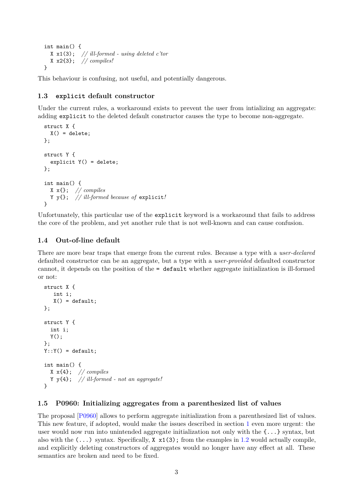```
int main() {
  X x1(3); // ill-formed - using deleted c'tor
  X x2{3}; // compiles!
}
```
This behaviour is confusing, not useful, and potentially dangerous.

### **1.3 explicit default constructor**

Under the current rules, a workaround exists to prevent the user from intializing an aggregate: adding explicit to the deleted default constructor causes the type to become non-aggregate.

```
struct X {
 X() = delete;};
struct Y {
  explicit Y() = delete;
};
int main() {
  X x{}; // compiles
  Y y{}; // ill-formed because of explicit!
}
```
Unfortunately, this particular use of the explicit keyword is a workaround that fails to address the core of the problem, and yet another rule that is not well-known and can cause confusion.

#### **1.4 Out-of-line default**

There are more bear traps that emerge from the current rules. Because a type with a *user-declared* defaulted constructor can be an aggregate, but a type with a *user-provided* defaulted constructor cannot, it depends on the position of the = default whether aggregate initialization is ill-formed or not:

```
struct X {
   int i;
   X() = default;};
struct Y {
  int i;
 Y();
};
Y:Y() = default;int main() {
 X x{4}; // compiles
  Y y{4}; // ill-formed - not an aggregate!
}
```
#### **1.5 P0960: Initializing aggregates from a parenthesized list of values**

The proposal [\[P0960\]](#page-10-0) allows to perform aggregate initialization from a parenthesized list of values. This new feature, if adopted, would make the issues described in section [1](#page-0-0) even more urgent: the user would now run into unintended aggregate initialization not only with the  $\{\ldots\}$  syntax, but also with the  $(\ldots)$  syntax. Specifically,  $X \times 1(3)$ ; from the examples in [1.2](#page-1-0) would actually compile, and explicitly deleting constructors of aggregates would no longer have any effect at all. These semantics are broken and need to be fixed.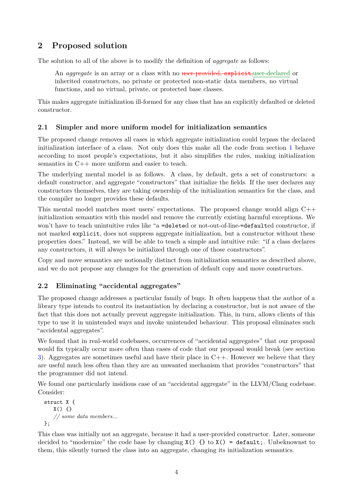# **2 Proposed solution**

The solution to all of the above is to modify the definition of *aggregate* as follows:

An *aggregate* is an array or a class with no user-provided, explicit, user-declared or inherited constructors, no private or protected non-static data members, no virtual functions, and no virtual, private, or protected base classes.

This makes aggregate initialization ill-formed for any class that has an explicitly defaulted or deleted constructor.

## **2.1 Simpler and more uniform model for initialization semantics**

The proposed change removes all cases in which aggregate initialization could bypass the declared initialization interface of a class. Not only does this make all the code from section [1](#page-0-0) behave according to most people's expectations, but it also simplifies the rules, making initialization semantics in C++ more uniform and easier to teach.

The underlying mental model is as follows. A class, by default, gets a set of constructors: a default constructor, and aggregate "constructors" that initialize the fields. If the user declares any constructors themselves, they are taking ownership of the initialization semantics for the class, and the compiler no longer provides these defaults.

This mental model matches most users' expectations. The proposed change would align  $C++$ initialization semantics with this model and remove the currently existing harmful exceptions. We won't have to teach unintuitive rules like "a =deleted or not-out-of-line-=defaulted constructor, if not marked explicit, does not suppress aggregate initialization, but a constructor without these properties does." Instead, we will be able to teach a simple and intuitive rule: "if a class declares any constructors, it will always be initialized through one of those constructors".

Copy and move semantics are notionally distinct from initialization semantics as described above, and we do not propose any changes for the generation of default copy and move constructors.

# **2.2 Eliminating "accidental aggregates"**

The proposed change addresses a particular family of bugs. It often happens that the author of a library type intends to control its instantiation by declaring a constructor, but is not aware of the fact that this does not actually prevent aggregate initialization. This, in turn, allows clients of this type to use it in unintended ways and invoke unintended behaviour. This proposal eliminates such "accidental aggregates".

We found that in real-world codebases, occurrences of "accidental aggregates" that our proposal would fix typically occur more often than cases of code that our proposal would break (see section [3\)](#page-4-0). Aggregates are sometimes useful and have their place in  $C_{++}$ . However we believe that they are useful much less often than they are an unwanted mechanism that provides "constructors" that the programmer did not intend.

We found one particularly insidious case of an "accidental aggregate" in the LLVM/Clang codebase. Consider:

```
struct X {
   X() {}
   // some data members...
};
```
This class was initially not an aggregate, because it had a user-provided constructor. Later, someone decided to "modernize" the code base by changing  $X() \{ \}$  to  $X() = \text{default};$ . Unbeknownst to them, this silently turned the class into an aggregate, changing its initialization semantics.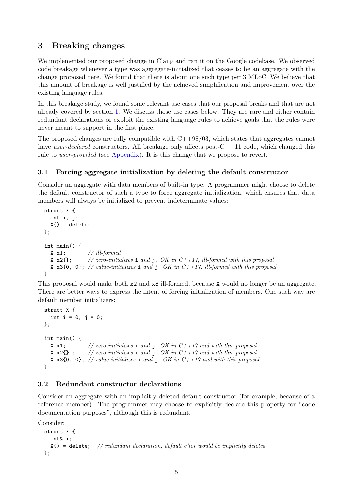# <span id="page-4-0"></span>**3 Breaking changes**

We implemented our proposed change in Clang and ran it on the Google codebase. We observed code breakage whenever a type was aggregate-initialized that ceases to be an aggregate with the change proposed here. We found that there is about one such type per 3 MLoC. We believe that this amount of breakage is well justified by the achieved simplification and improvement over the existing language rules.

In this breakage study, we found some relevant use cases that our proposal breaks and that are not already covered by section [1.](#page-0-0) We discuss those use cases below. They are rare and either contain redundant declarations or exploit the existing language rules to achieve goals that the rules were never meant to support in the first place.

The proposed changes are fully compatible with  $C+98/03$ , which states that aggregates cannot have *user-declared* constructors. All breakage only affects post-C++11 code, which changed this rule to *user-provided* (see [Appendix\)](#page-9-0). It is this change that we propose to revert.

## **3.1 Forcing aggregate initialization by deleting the default constructor**

Consider an aggregate with data members of built-in type. A programmer might choose to delete the default constructor of such a type to force aggregate initialization, which ensures that data members will always be initialized to prevent indeterminate values:

```
struct X {
  int i, j;
  X() = delete;};
int main() {
  X \times 1; // ill-formed<br>X \times 2{}; // zero-initia
                  X x2{}; // zero-initializes i and j. OK in C++17, ill-formed with this proposal
  X x3{0, 0}; // value-initializes i and j. OK in C++17, ill-formed with this proposal
}
```
This proposal would make both x2 and x3 ill-formed, because X would no longer be an aggregate. There are better ways to express the intent of forcing initialization of members. One such way are default member initializers:

```
struct X {
  int i = 0, j = 0;
};
int main() {
  X x1; // zero-initializes i and j. OK in C++17 and with this proposal
  X x2{} ; // zero-initializes i and j. OK in C++17 and with this proposal
  X x3{0, 0}; // value-initializes i and j. OK in C++17 and with this proposal
}
```
## **3.2 Redundant constructor declarations**

Consider an aggregate with an implicitly deleted default constructor (for example, because of a reference member). The programmer may choose to explicitly declare this property for "code documentation purposes", although this is redundant.

Consider:

```
struct X {
  int& i;
  X() = delete; // redundant declaration; default c'tor would be implicitly deleted
};
```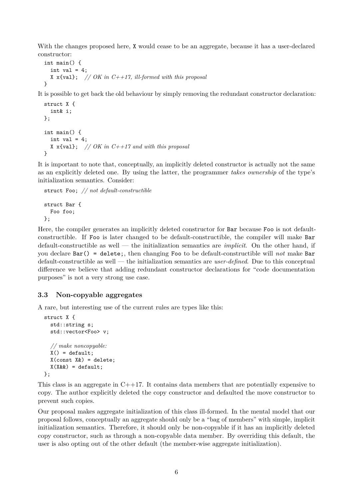With the changes proposed here, X would cease to be an aggregate, because it has a user-declared constructor:

```
int main() {
  int val = 4;
  X x{val}; // OK in C++17, ill-formed with this proposal
}
```
It is possible to get back the old behaviour by simply removing the redundant constructor declaration:

```
struct X {
  int& i;
};
int main() {
  int val = 4;
  X x{val}; // OK in C++17 and with this proposal
}
```
It is important to note that, conceptually, an implicitly deleted constructor is actually not the same as an explicitly deleted one. By using the latter, the programmer *takes ownership* of the type's initialization semantics. Consider:

```
struct Foo; // not default-constructible
struct Bar {
  Foo foo;
};
```
Here, the compiler generates an implicitly deleted constructor for Bar because Foo is not defaultconstructible. If Foo is later changed to be default-constructible, the compiler will make Bar default-constructible as well — the initialization semantics are *implicit*. On the other hand, if you declare Bar() = delete;, then changing Foo to be default-constructible will *not* make Bar default-constructible as well — the initialization semantics are *user-defined*. Due to this conceptual difference we believe that adding redundant constructor declarations for "code documentation purposes" is not a very strong use case.

## **3.3 Non-copyable aggregates**

A rare, but interesting use of the current rules are types like this:

```
struct X {
  std::string s;
  std::vector<Foo> v;
  // make noncopyable:
  X() = default;X(const X(x) = delete;
  X(X\&\&) = \text{default}:};
```
This class is an aggregate in  $C++17$ . It contains data members that are potentially expensive to copy. The author explicitly deleted the copy constructor and defaulted the move constructor to prevent such copies.

Our proposal makes aggregate initialization of this class ill-formed. In the mental model that our proposal follows, conceptually an aggregate should only be a "bag of members" with simple, implicit initialization semantics. Therefore, it should only be non-copyable if it has an implicitly deleted copy constructor, such as through a non-copyable data member. By overriding this default, the user is also opting out of the other default (the member-wise aggregate initialization).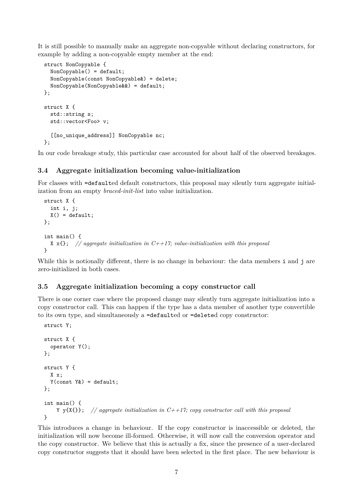It is still possible to manually make an aggregate non-copyable without declaring constructors, for example by adding a non-copyable empty member at the end:

```
struct NonCopyable {
  NonCopyable() = default:NonCopyable(const NonCopyable&) = delete;
  NonCopyable(NonCopyable&&) = default;
};
struct X {
  std::string s;
  std::vector<Foo> v;
  [[no_unique_address]] NonCopyable nc;
};
```
In our code breakage study, this particular case accounted for about half of the observed breakages.

#### **3.4 Aggregate initialization becoming value-initialization**

For classes with =defaulted default constructors, this proposal may silently turn aggregate initialization from an empty *braced-init-list* into value initialization.

```
struct X {
  int i, j;
  X() = default;};
int main() {
  X x{}; // aggregate initialization in C++17; value-initialization with this proposal
}
```
While this is notionally different, there is no change in behaviour: the data members i and j are zero-initialized in both cases.

#### **3.5 Aggregate initialization becoming a copy constructor call**

There is one corner case where the proposed change may silently turn aggregate initialization into a copy constructor call. This can happen if the type has a data member of another type convertible to its own type, and simultaneously a =defaulted or =deleted copy constructor:

```
struct Y;
struct X {
  operator Y();
};
struct Y {
  X x;
  Y(const Y> ) = destault;};
int main() {
    Y y{X{}}; // aggregate initialization in C++17; copy constructor call with this proposal
}
```
This introduces a change in behaviour. If the copy constructor is inaccessible or deleted, the initialization will now become ill-formed. Otherwise, it will now call the conversion operator and the copy constructor. We believe that this is actually a fix, since the presence of a user-declared copy constructor suggests that it should have been selected in the first place. The new behaviour is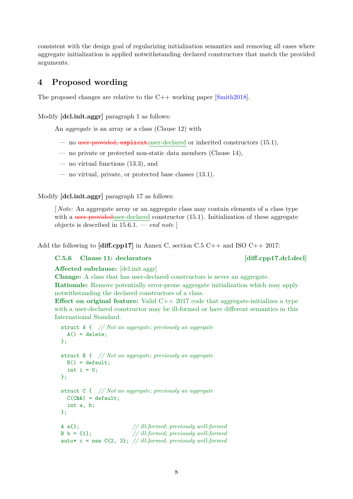consistent with the design goal of regularizing initialization semantics and removing all cases where aggregate initialization is applied notwithstanding declared constructors that match the provided arguments.

# **4 Proposed wording**

The proposed changes are relative to the  $C++$  working paper  $[\text{Smith2018}]$ .

Modify **[dcl.init.aggr]** paragraph 1 as follows:

An *aggregate* is an array or a class (Clause 12) with

- no user-provided, explicit,user-declared or inherited constructors (15.1),
- no private or protected non-static data members (Clause 14),
- no virtual functions (13.3), and
- no virtual, private, or protected base classes (13.1).

Modify **[dcl.init.aggr]** paragraph 17 as follows:

[ *Note:* An aggregate array or an aggregate class may contain elements of a class type with a user-provided duser-declared constructor  $(15.1)$ . Initialization of these aggregate objects is described in 15.6.1. — *end note* ]

Add the following to **[diff.cpp17]** in Annex C, section C.5 C++ and ISO C++ 2017:

## C.5.6 Clause 11: declarators [diff.cpp17.dcl.decl]

**Affected subclause:** [dcl.init.aggr]

**Change:** A class that has user-declared constructors is never an aggregate. **Rationale:** Remove potentially error-prone aggregate initialization which may apply notwithstanding the declared constructors of a class.

**Effect on original feature:** Valid C++ 2017 code that aggregate-initializes a type with a user-declared constructor may be ill-formed or have different semantics in this International Standard.

```
struct A { // Not an aggregate; previously an aggregate
  A() = delete;};
struct B { // Not an aggregate; previously an aggregate
  B() = default:int i = 0;
};
struct C { // Not an aggregate; previously an aggregate
  C(C\&&)=default;int a, b;
};
A a{}; // ill-formed; previously well-formed
B b = {1}; // ill-formed; previously well-formed
auto* c = new C{2, 3}; // ill-formed; previously well-formed
```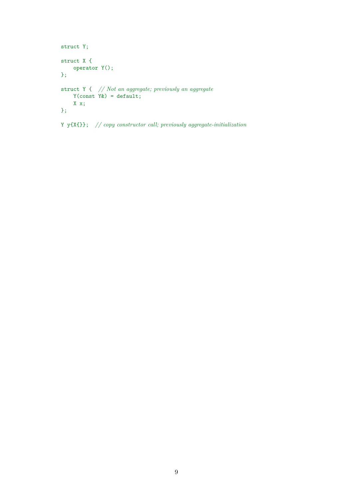```
struct Y;
struct X {
    operator Y();
};
struct Y { // Not an aggregate; previously an aggregate
     Y(\text{const } Y\&) = \text{default};X x;
};
```
Y y{X{}}; *// copy constructor call; previously aggregate-initialization*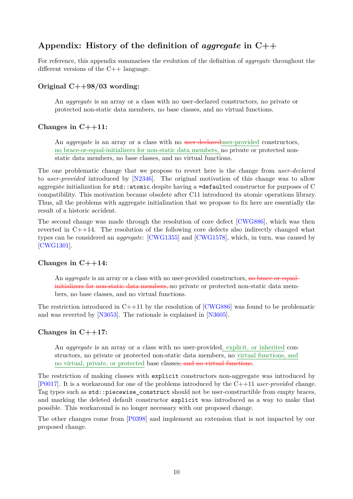# <span id="page-9-0"></span>**Appendix: History of the definition of** *aggregate* **in C++**

For reference, this appendix summarises the evolution of the definition of *aggregate* throughout the different versions of the C++ language.

#### **Original C++98/03 wording:**

An *aggregate* is an array or a class with no user-declared constructors, no private or protected non-static data members, no base classes, and no virtual functions.

### **Changes in C++11:**

An *aggregate* is an array or a class with no user-declared user-provided constructors, no brace-or-equal-initializers for non-static data members, no private or protected nonstatic data members, no base classes, and no virtual functions.

The one problematic change that we propose to revert here is the change from *user-declared* to *user-provided* introduced by [\[N2346\]](#page-10-2). The original motivation of this change was to allow aggregate initialization for  $\texttt{std::atomic}$  despite having a  $=\texttt{defaulted}$  constructor for purposes of C compatibility. This motivation became obsolete after C11 introduced its atomic operations library. Thus, all the problems with aggregate initialization that we propose to fix here are essentially the result of a historic accident.

The second change was made through the resolution of core defect [\[CWG886\]](#page-10-3), which was then reverted in C++14. The resolution of the following core defects also indirectly changed what types can be considered an *aggregate*: [\[CWG1355\]](#page-10-4) and [\[CWG1578\]](#page-10-5), which, in turn, was caused by [\[CWG1301\]](#page-10-6).

#### **Changes in C++14:**

An *aggregate* is an array or a class with no user-provided constructors, no brace-or-equalinitializers for non-static data members, no private or protected non-static data members, no base classes, and no virtual functions.

The restriction introduced in  $C++11$  by the resolution of  $[CWG886]$  was found to be problematic and was reverted by [\[N3653\]](#page-10-7). The rationale is explained in [\[N3605\]](#page-10-8).

#### **Changes in C++17:**

An *aggregate* is an array or a class with no user-provided, explicit, or inherited constructors, no private or protected non-static data members, no virtual functions, and no virtual, private, or protected base classes, and no virtual functions.

The restriction of making classes with explicit constructors non-aggregate was introduced by [\[P0017\]](#page-10-9). It is a workaround for one of the problems introduced by the C++11 *user-provided* change. Tag types such as std::piecewise\_construct should not be user-constructible from empty braces, and marking the deleted default constructor explicit was introduced as a way to make that possible. This workaround is no longer necessary with our proposed change.

The other changes come from [\[P0398\]](#page-10-10) and implement an extension that is not impacted by our proposed change.